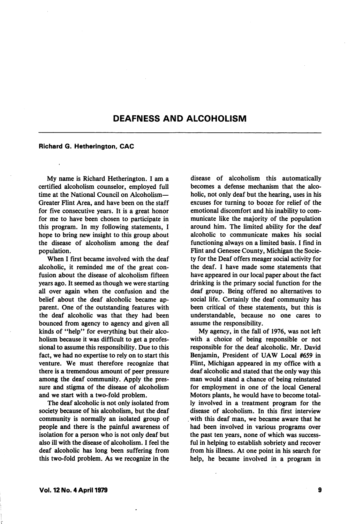## DEAFNESS AND ALCOHOLISM

## Richard G. Hetherington, CAC

My name is Richard Hetherington. 1 am a certified alcoholism counselor, employed full time at the National Council on Alcoholism-Greater Flint Area, and have been on the staff for five consecutive years. It is a great honor for me to have been chosen to participate in this program. In my following statements, I hope to bring new insight to this group about the disease of alcoholism among the deaf population.

When I first became involved with the deaf alcoholic, it reminded me of the great con fusion about the disease of alcoholism fifteen years ago. It seemed as though we were starting all over again when the confusion and the belief about the deaf alcoholic became ap parent. One of the outstanding features with the deaf alcoholic was that they had been bounced from agency to agency and given all kinds of "help" for everything but their alco holism because it was difficult to get a professional to assume this responsibility. Due to this fact, we had no expertise to rely on to start this venture. We must therefore recognize that there is a tremendous amount of peer pressure among the deaf community. Apply the pres sure and stigma of the disease of alcoholism and we start with a two-fold problem.

The deaf alcoholic is not only isolated from society because of his alcoholism, but the deaf community is normally an isolated group of people and there is the painful awareness of isolation for a person who is not only deaf but also ill with the disease of alcoholism. I feel the deaf alcoholic has long been suffering from this two-fold problem. As we recognize in the

disease of alcoholism this automatically becomes a defense mechanism that the alco holic, not only deaf but the hearing, uses in his excuses for turning to booze for relief of the emotional discomfort and his inability to com municate like the majority of the population around him. The limited ability for the deaf alcoholic to communicate makes his social functioning always on a limited basis. I find in Flint and Genesee County, Michigan the Socie ty for the Deaf offers meager social activity for the deaf. I have made some statements that have appeared in our local paper about the fact drinking is the primary social function for the deaf group. Being offered no alternatives to social life. Certainly the deaf community has been critical of these statements, but this is understandable, because no one cares to assume the responsibility.

My agency, in the fall of 1976, was not left with a choice of being responsible or not responsible for the deaf alcoholic. Mr. David Benjamin, President of UAW Local #659 in Flint, Michigan appeared in my office with a deaf alcoholic and stated that the only way this man would stand a chance of being reinstated for employment in one of the local General Motors plants, he would have to become total ly involved in a treatment program for the disease of alcoholism. In this first interview with this deaf man, we became aware that he had been involved in various programs over the past ten years, none of which was success ful in helping to establish sobriety and recover from his illness. At one point in his search for help, he became involved in a program in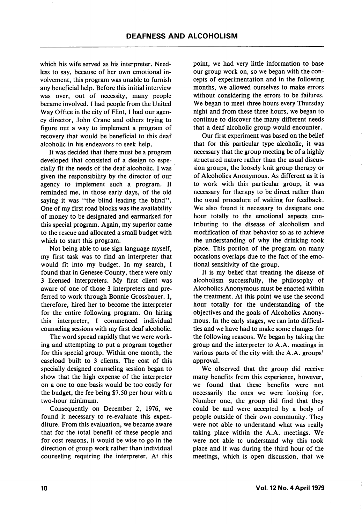which his wife served as his interpreter. Needless to say, because of her own emotional in volvement, this program was unable to furnish any beneficial help. Before this initial interview was over, out of necessity, many people became involved. I had people from the United Way Office in the city of Flint, I had our agen cy director, John Crane and others trying to figure out a way to implement a program of recovery that would be beneficial to this deaf alcoholic in his endeavors to seek help.

It was decided that there must be a program developed that consisted of a design to espe cially fit the needs of the deaf alcoholic. I was given the responsibility by the director of our agency to implement such a program. It reminded me, in those early days, of the old saying it was "the blind leading the blind". One of my first road blocks was the availability of money to be designated and earmarked for this special program. Again, my superior came to the rescue and allocated a small budget with which to start this program.

Not being able to use sign language myself, my first task was to find an interpreter that would fit into my budget. In my search, I found that in Genesee County, there were only 3 licensed interpreters. My first client was aware of one of those 3 interpreters and pre ferred to work through Bonnie Grossbauer. I, therefore, hired her to become the interpreter for the entire following program. On hiring this interpreter, I commenced individual counseling sessions with my first deaf alcoholic.

The word spread rapidly that we were work ing and attempting to put a program together for this special group. Within one month, the caseload built to 3 clients. The cost of this specially designed counseling session began to show that the high expense of the interpreter on a one to one basis would be too costly for the budget, the fee being \$7.50 per hour with a two-hour minimum.

Consequently on December 2, 1976, we found it necessary to re-evaluate this expen diture. From this evaluation, we became aware that for the total benefit of these people and for cost reasons, it would be wise to go in the direction of group work rather than individual counseling requiring the interpreter. At this

point, we had very little information to base our group work on, so we began with the con cepts of experimentation and in the following months, we allowed ourselves to make errors without considering the errors to be failures. We began to meet three hours every Thursday night and from these three hours, we began to continue to discover the many different needs that a deaf alcoholic group would encounter.

Our first experiment was based on the belief that for this particular type alcoholic, it was necessary that the group meeting be of a highly structured nature rather than the usual discus sion groups, the loosely knit group therapy or of Alcoholics Anonymous. As different as it is to work with this particular group, it was necessary for therapy to be direct rather than the usual procedure of waiting for feedback. We also found it necessary to designate one hour totally to the emotional aspects con tributing to the disease of alcoholism and modification of that behavior so as to achieve the understanding of why the drinking took place. This portion of the program on many occasions overlaps due to the fact of the emo tional sensitivity of the group.

It is my belief that treating the disease of alcoholism successfully, the philosophy of Alcoholics Anonymous must be enacted within the treatment. At this point we use the second hour totally for the understanding of the objectives and the goals of Alcoholics Anony mous. In the early stages, we ran into difficul ties and we have had to make some changes for the following reasons. We began by taking the group and the interpreter to A.A. meetings in various parts of the city with the A.A. groups' approval.

We observed that the group did receive many benefits from this experience, however, we found that these benefits were not necessarily the ones we were looking for. Number one, the group did find that they could be and were accepted by a body of people outside of their own community. They were not able to understand what was really taking place within the A.A. meetings. We were not able to understand why this took place and it was during the third hour of the meetings, which is open discussion, that we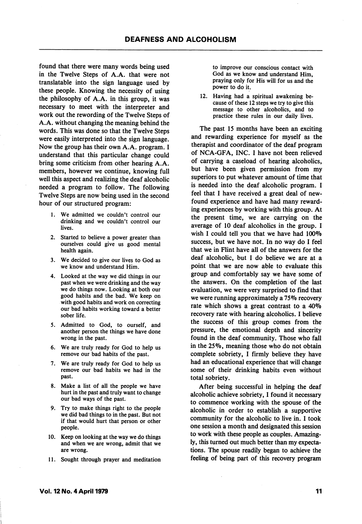found that there were many words being used in the Twelve Steps of A.A. that were not translatable into the sign language used by these people. Knowing the necessity of using the philosophy of A.A. in this group, it was necessary to meet with the interpreter and work out the rewording of the Twelve Steps of A.A. without changing the meaning behind the words. This was done so that the Twelve Steps were easily interpreted into the sign language. Now the group has their own A.A. program. I understand that this particular change could bring some criticism from other hearing A.A. members, however we continue, knowing full well this aspect and realizing the deaf alcoholic needed a program to follow. The following Twelve Steps are now being used in the second hour of our structured program:

- 1. We admitted we couldn't control our drinking and we couldn't control our lives.
- 2. Started to believe a power greater than ourselves could give us good mental health again.
- 3. We decided to give our lives to God as we know and understand Him.
- 4. Looked at the way we did things in our past when we were drinking and the way we do things now. Looking at both our good habits and the bad. We keep on with good habits and work on correcting our bad habits working toward a better sober life.
- 5. Admitted to God, to ourself, and another person the things we have done wrong in the past.
- 6. We are truly ready for God to help us remove our bad habits of the past.
- 7. We are truly ready for God to help us remove our bad habits we had in the past.
- 8. Make a list of all the people we have hurt in the past and truly want to change our bad ways of the past.
- 9. Try to make things right to the people we did bad things to in the past. But not if that would hurt that person or other people.
- 10. Keep on looking at the way we do things and when we are wrong, admit that we are wrong.
- 11. Sought through prayer and meditation

to improve our conscious contact with God as we know and understand Him, praying only for His will for us and the power to do it.

12. Having had a spiritual awakening be cause of these 12 steps we try to give this message to other alcoholics, and to practice these rules in our daily lives.

The past 15 months have been an exciting and rewarding experience for myself as the therapist and coordinator of the deaf program of NCA-GFA, INC. I have not been relieved of carrying a caseload of hearing alcoholics, but have been given permission from my superiors to put whatever amount of time that is needed into the deaf alcoholic program. I feel that I have received a great deal of new found experience and have had many reward ing experiences by working with this group. At the present time, we are carrying on the average of 10 deaf alcoholics in the group. I wish I could tell you that we have had  $100\%$ success, but we have not. In no way do I feel that we in Flint have all of the answers for the deaf alcoholic, but I do believe we are at a point that we are now able to evaluate this group and comfortably say we have some of the answers. On the completion of the last evaluation, we were very surprised to find that we were running approximately a 75% recovery rate which shows a great contrast to a 40% recovery rate with hearing alcoholics. I believe the success of this group comes from the pressure, the emotional depth and sincerity found in the deaf community. Those who fall in the 25%, meaning those who do not obtain complete sobriety, I firmly believe they have had an educational experience that will change some of their drinking habits even without total sobriety.

After being successful in helping the deaf alcoholic achieve sobriety, I found it necessary to commence working with the spouse of the alcoholic in order to establish a supportive community for the alcoholic to live in. I took one session a month and designated this session to work with these people as couples. Amazing ly, this turned out much better than my expecta tions. The spouse readily began to achieve the feeling of being part of this recovery program